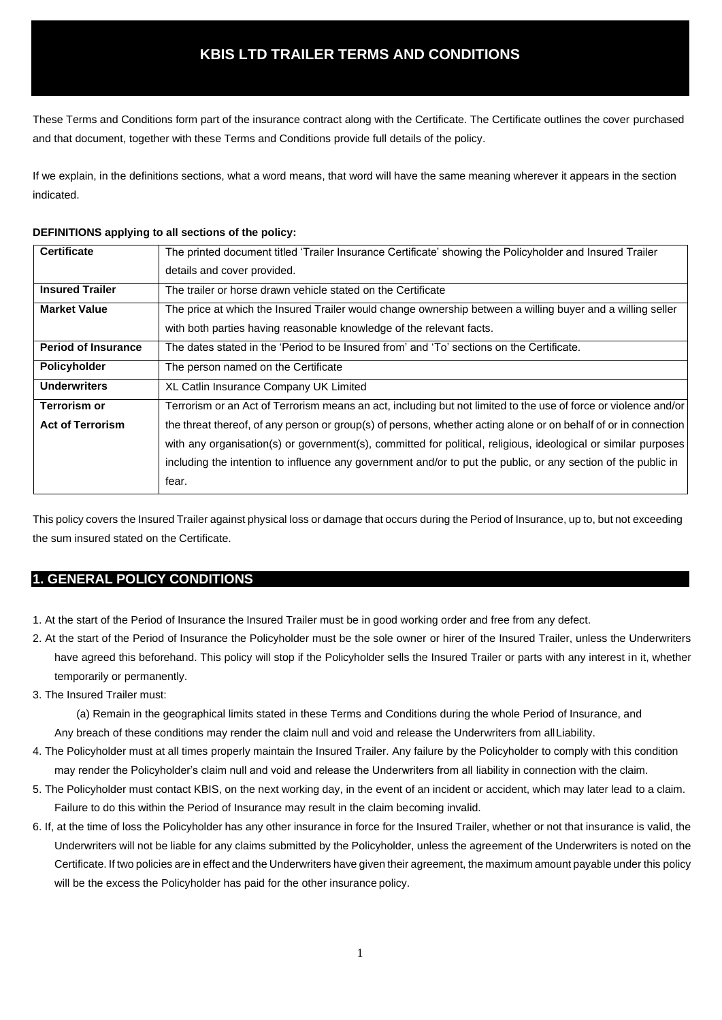These Terms and Conditions form part of the insurance contract along with the Certificate. The Certificate outlines the cover purchased and that document, together with these Terms and Conditions provide full details of the policy.

If we explain, in the definitions sections, what a word means, that word will have the same meaning wherever it appears in the section indicated.

### **DEFINITIONS applying to all sections of the policy:**

| <b>Certificate</b>         | The printed document titled 'Trailer Insurance Certificate' showing the Policyholder and Insured Trailer        |
|----------------------------|-----------------------------------------------------------------------------------------------------------------|
|                            | details and cover provided.                                                                                     |
| <b>Insured Trailer</b>     | The trailer or horse drawn vehicle stated on the Certificate                                                    |
| <b>Market Value</b>        | The price at which the Insured Trailer would change ownership between a willing buyer and a willing seller      |
|                            | with both parties having reasonable knowledge of the relevant facts.                                            |
| <b>Period of Insurance</b> | The dates stated in the 'Period to be Insured from' and 'To' sections on the Certificate.                       |
| Policyholder               | The person named on the Certificate                                                                             |
| <b>Underwriters</b>        | XL Catlin Insurance Company UK Limited                                                                          |
| <b>Terrorism or</b>        | Terrorism or an Act of Terrorism means an act, including but not limited to the use of force or violence and/or |
| <b>Act of Terrorism</b>    | the threat thereof, of any person or group(s) of persons, whether acting alone or on behalf of or in connection |
|                            | with any organisation(s) or government(s), committed for political, religious, ideological or similar purposes  |
|                            | including the intention to influence any government and/or to put the public, or any section of the public in   |
|                            | fear.                                                                                                           |

This policy covers the Insured Trailer against physical loss or damage that occurs during the Period of Insurance, up to, but not exceeding the sum insured stated on the Certificate.

# **1. GENERAL POLICY CONDITIONS**

- 1. At the start of the Period of Insurance the Insured Trailer must be in good working order and free from any defect.
- 2. At the start of the Period of Insurance the Policyholder must be the sole owner or hirer of the Insured Trailer, unless the Underwriters have agreed this beforehand. This policy will stop if the Policyholder sells the Insured Trailer or parts with any interest in it, whether temporarily or permanently.
- 3. The Insured Trailer must:

(a) Remain in the geographical limits stated in these Terms and Conditions during the whole Period of Insurance, and

Any breach of these conditions may render the claim null and void and release the Underwriters from allLiability.

- 4. The Policyholder must at all times properly maintain the Insured Trailer. Any failure by the Policyholder to comply with this condition may render the Policyholder's claim null and void and release the Underwriters from all liability in connection with the claim.
- 5. The Policyholder must contact KBIS, on the next working day, in the event of an incident or accident, which may later lead to a claim. Failure to do this within the Period of Insurance may result in the claim becoming invalid.
- 6. If, at the time of loss the Policyholder has any other insurance in force for the Insured Trailer, whether or not that insurance is valid, the Underwriters will not be liable for any claims submitted by the Policyholder, unless the agreement of the Underwriters is noted on the Certificate. If two policies are in effect and the Underwriters have given their agreement, the maximum amount payable under this policy will be the excess the Policyholder has paid for the other insurance policy.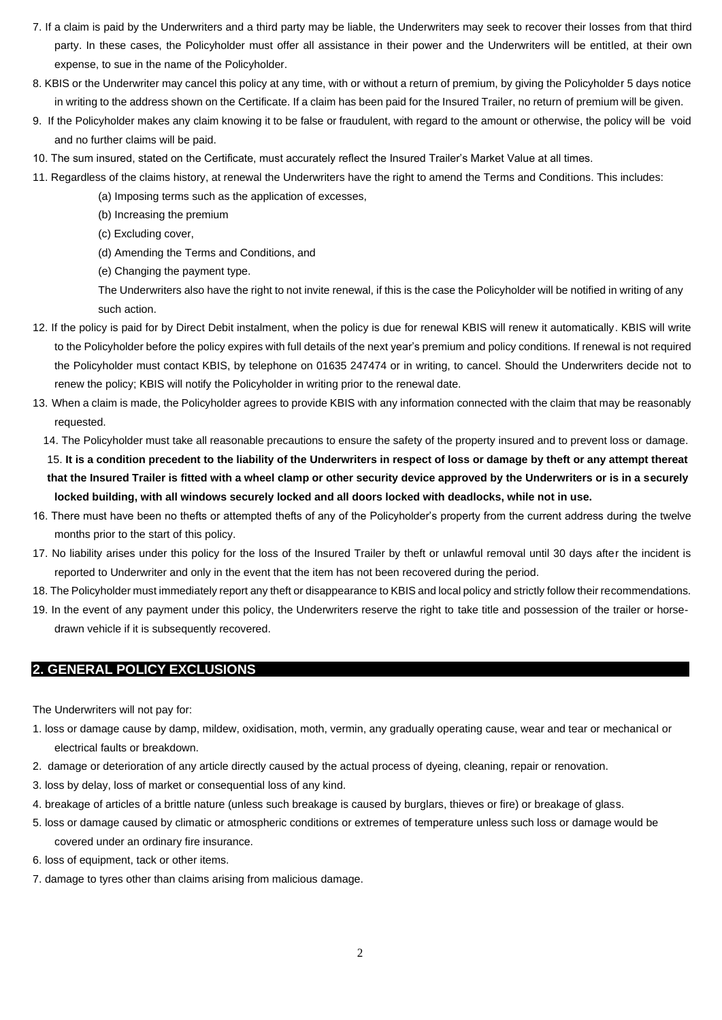- 7. If a claim is paid by the Underwriters and a third party may be liable, the Underwriters may seek to recover their losses from that third party. In these cases, the Policyholder must offer all assistance in their power and the Underwriters will be entitled, at their own expense, to sue in the name of the Policyholder.
- 8. KBIS or the Underwriter may cancel this policy at any time, with or without a return of premium, by giving the Policyholder 5 days notice in writing to the address shown on the Certificate. If a claim has been paid for the Insured Trailer, no return of premium will be given.
- 9. If the Policyholder makes any claim knowing it to be false or fraudulent, with regard to the amount or otherwise, the policy will be void and no further claims will be paid.
- 10. The sum insured, stated on the Certificate, must accurately reflect the Insured Trailer's Market Value at all times.
- 11. Regardless of the claims history, at renewal the Underwriters have the right to amend the Terms and Conditions. This includes:
	- (a) Imposing terms such as the application of excesses,
	- (b) Increasing the premium
	- (c) Excluding cover,
	- (d) Amending the Terms and Conditions, and
	- (e) Changing the payment type.

The Underwriters also have the right to not invite renewal, if this is the case the Policyholder will be notified in writing of any such action.

- 12. If the policy is paid for by Direct Debit instalment, when the policy is due for renewal KBIS will renew it automatically. KBIS will write to the Policyholder before the policy expires with full details of the next year's premium and policy conditions. If renewal is not required the Policyholder must contact KBIS, by telephone on 01635 247474 or in writing, to cancel. Should the Underwriters decide not to renew the policy; KBIS will notify the Policyholder in writing prior to the renewal date.
- 13. When a claim is made, the Policyholder agrees to provide KBIS with any information connected with the claim that may be reasonably requested.
	- 14. The Policyholder must take all reasonable precautions to ensure the safety of the property insured and to prevent loss or damage.

15. **It is a condition precedent to the liability of the Underwriters in respect of loss or damage by theft or any attempt thereat that the Insured Trailer is fitted with a wheel clamp or other security device approved by the Underwriters or is in a securely locked building, with all windows securely locked and all doors locked with deadlocks, while not in use.**

- 16. There must have been no thefts or attempted thefts of any of the Policyholder's property from the current address during the twelve months prior to the start of this policy.
- 17. No liability arises under this policy for the loss of the Insured Trailer by theft or unlawful removal until 30 days after the incident is reported to Underwriter and only in the event that the item has not been recovered during the period.
- 18. The Policyholder must immediately report any theft or disappearance to KBIS and local policy and strictly follow their recommendations.
- 19. In the event of any payment under this policy, the Underwriters reserve the right to take title and possession of the trailer or horsedrawn vehicle if it is subsequently recovered.

## **2. GENERAL POLICY EXCLUSIONS**

The Underwriters will not pay for:

- 1. loss or damage cause by damp, mildew, oxidisation, moth, vermin, any gradually operating cause, wear and tear or mechanical or electrical faults or breakdown.
- 2. damage or deterioration of any article directly caused by the actual process of dyeing, cleaning, repair or renovation.
- 3. loss by delay, loss of market or consequential loss of any kind.
- 4. breakage of articles of a brittle nature (unless such breakage is caused by burglars, thieves or fire) or breakage of glass.
- 5. loss or damage caused by climatic or atmospheric conditions or extremes of temperature unless such loss or damage would be covered under an ordinary fire insurance.
- 6. loss of equipment, tack or other items.
- 7. damage to tyres other than claims arising from malicious damage.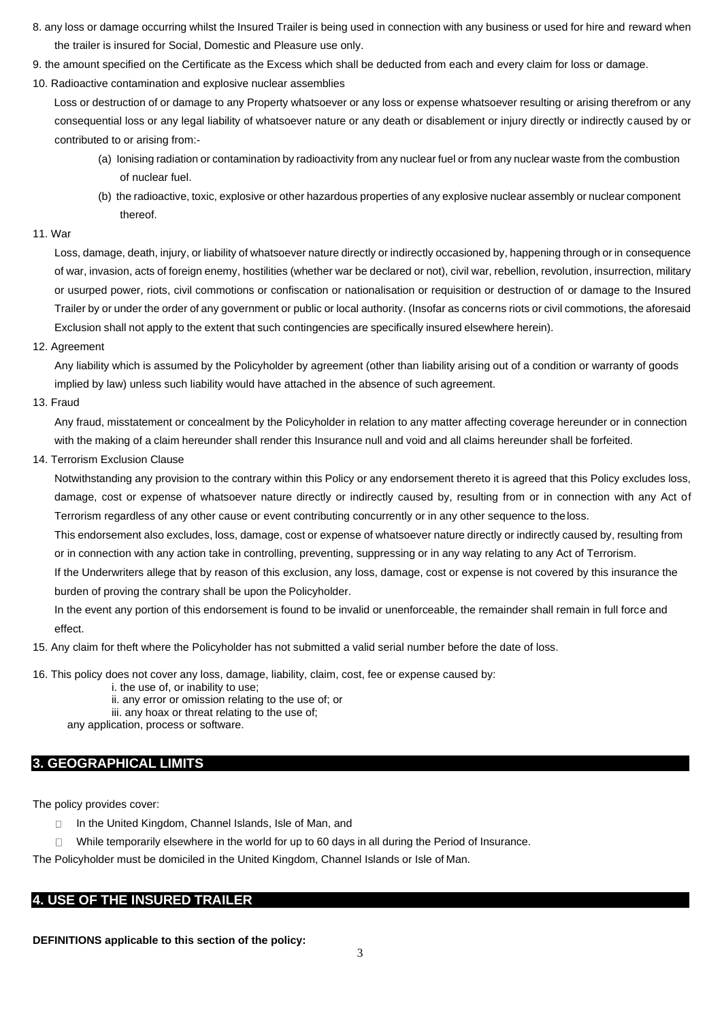- 8. any loss or damage occurring whilst the Insured Trailer is being used in connection with any business or used for hire and reward when the trailer is insured for Social, Domestic and Pleasure use only.
- 9. the amount specified on the Certificate as the Excess which shall be deducted from each and every claim for loss or damage.
- 10. Radioactive contamination and explosive nuclear assemblies

 Loss or destruction of or damage to any Property whatsoever or any loss or expense whatsoever resulting or arising therefrom or any consequential loss or any legal liability of whatsoever nature or any death or disablement or injury directly or indirectly caused by or contributed to or arising from:-

- (a) Ionising radiation or contamination by radioactivity from any nuclear fuel or from any nuclear waste from the combustion of nuclear fuel.
- (b) the radioactive, toxic, explosive or other hazardous properties of any explosive nuclear assembly or nuclear component thereof.

### 11. War

 Loss, damage, death, injury, or liability of whatsoever nature directly or indirectly occasioned by, happening through or in consequence of war, invasion, acts of foreign enemy, hostilities (whether war be declared or not), civil war, rebellion, revolution, insurrection, military or usurped power, riots, civil commotions or confiscation or nationalisation or requisition or destruction of or damage to the Insured Trailer by or under the order of any government or public or local authority. (Insofar as concerns riots or civil commotions, the aforesaid Exclusion shall not apply to the extent that such contingencies are specifically insured elsewhere herein).

### 12. Agreement

Any liability which is assumed by the Policyholder by agreement (other than liability arising out of a condition or warranty of goods implied by law) unless such liability would have attached in the absence of such agreement.

13. Fraud

Any fraud, misstatement or concealment by the Policyholder in relation to any matter affecting coverage hereunder or in connection with the making of a claim hereunder shall render this Insurance null and void and all claims hereunder shall be forfeited.

14. Terrorism Exclusion Clause

 Notwithstanding any provision to the contrary within this Policy or any endorsement thereto it is agreed that this Policy excludes loss, damage, cost or expense of whatsoever nature directly or indirectly caused by, resulting from or in connection with any Act of Terrorism regardless of any other cause or event contributing concurrently or in any other sequence to theloss.

This endorsement also excludes, loss, damage, cost or expense of whatsoever nature directly or indirectly caused by, resulting from or in connection with any action take in controlling, preventing, suppressing or in any way relating to any Act of Terrorism.

If the Underwriters allege that by reason of this exclusion, any loss, damage, cost or expense is not covered by this insurance the burden of proving the contrary shall be upon the Policyholder.

In the event any portion of this endorsement is found to be invalid or unenforceable, the remainder shall remain in full force and effect.

15. Any claim for theft where the Policyholder has not submitted a valid serial number before the date of loss.

16. This policy does not cover any loss, damage, liability, claim, cost, fee or expense caused by:

- i. the use of, or inability to use;
- ii. any error or omission relating to the use of; or
- iii. any hoax or threat relating to the use of;

any application, process or software.

## **3. GEOGRAPHICAL LIMITS**

The policy provides cover:

- $\Box$ In the United Kingdom, Channel Islands, Isle of Man, and
- $\Box$ While temporarily elsewhere in the world for up to 60 days in all during the Period of Insurance.

The Policyholder must be domiciled in the United Kingdom, Channel Islands or Isle of Man.

## **4. USE OF THE INSURED TRAILER**

**DEFINITIONS applicable to this section of the policy:**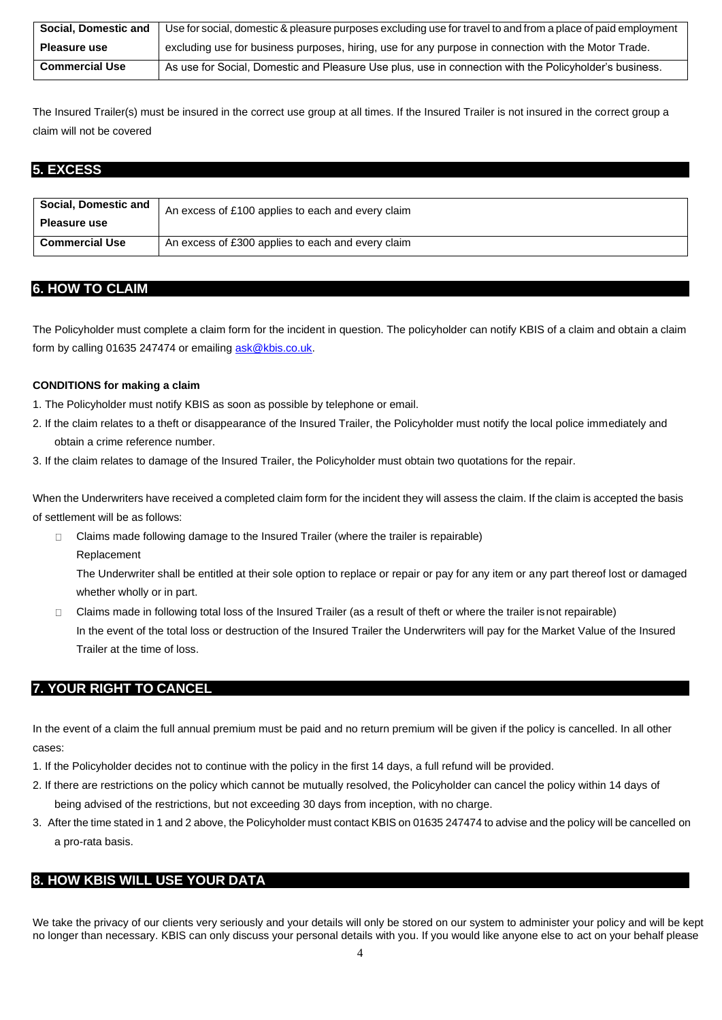| Social, Domestic and  | Use for social, domestic & pleasure purposes excluding use for travel to and from a place of paid employment |
|-----------------------|--------------------------------------------------------------------------------------------------------------|
| Pleasure use          | excluding use for business purposes, hiring, use for any purpose in connection with the Motor Trade.         |
| <b>Commercial Use</b> | As use for Social, Domestic and Pleasure Use plus, use in connection with the Policyholder's business.       |

The Insured Trailer(s) must be insured in the correct use group at all times. If the Insured Trailer is not insured in the correct group a claim will not be covered

# **5. EXCESS**

| Social, Domestic and<br><b>Pleasure use</b> | An excess of £100 applies to each and every claim |
|---------------------------------------------|---------------------------------------------------|
| <b>Commercial Use</b>                       | An excess of £300 applies to each and every claim |

# **6. HOW TO CLAIM**

The Policyholder must complete a claim form for the incident in question. The policyholder can notify KBIS of a claim and obtain a claim form by calling 01635 247474 or emailing ask@kbis.co.uk.

## **CONDITIONS for making a claim**

- 1. The Policyholder must notify KBIS as soon as possible by telephone or email.
- 2. If the claim relates to a theft or disappearance of the Insured Trailer, the Policyholder must notify the local police immediately and obtain a crime reference number.
- 3. If the claim relates to damage of the Insured Trailer, the Policyholder must obtain two quotations for the repair.

When the Underwriters have received a completed claim form for the incident they will assess the claim. If the claim is accepted the basis of settlement will be as follows:

Claims made following damage to the Insured Trailer (where the trailer is repairable)  $\Box$ Replacement

The Underwriter shall be entitled at their sole option to replace or repair or pay for any item or any part thereof lost or damaged whether wholly or in part.

 $\Box$ Claims made in following total loss of the Insured Trailer (as a result of theft or where the trailer isnot repairable) In the event of the total loss or destruction of the Insured Trailer the Underwriters will pay for the Market Value of the Insured Trailer at the time of loss.

# **7. YOUR RIGHT TO CANCEL**

In the event of a claim the full annual premium must be paid and no return premium will be given if the policy is cancelled. In all other cases:

- 1. If the Policyholder decides not to continue with the policy in the first 14 days, a full refund will be provided.
- 2. If there are restrictions on the policy which cannot be mutually resolved, the Policyholder can cancel the policy within 14 days of being advised of the restrictions, but not exceeding 30 days from inception, with no charge.
- 3. After the time stated in 1 and 2 above, the Policyholder must contact KBIS on 01635 247474 to advise and the policy will be cancelled on a pro-rata basis.

# **8. HOW KBIS WILL USE YOUR DATA**

We take the privacy of our clients very seriously and your details will only be stored on our system to administer your policy and will be kept no longer than necessary. KBIS can only discuss your personal details with you. If you would like anyone else to act on your behalf please